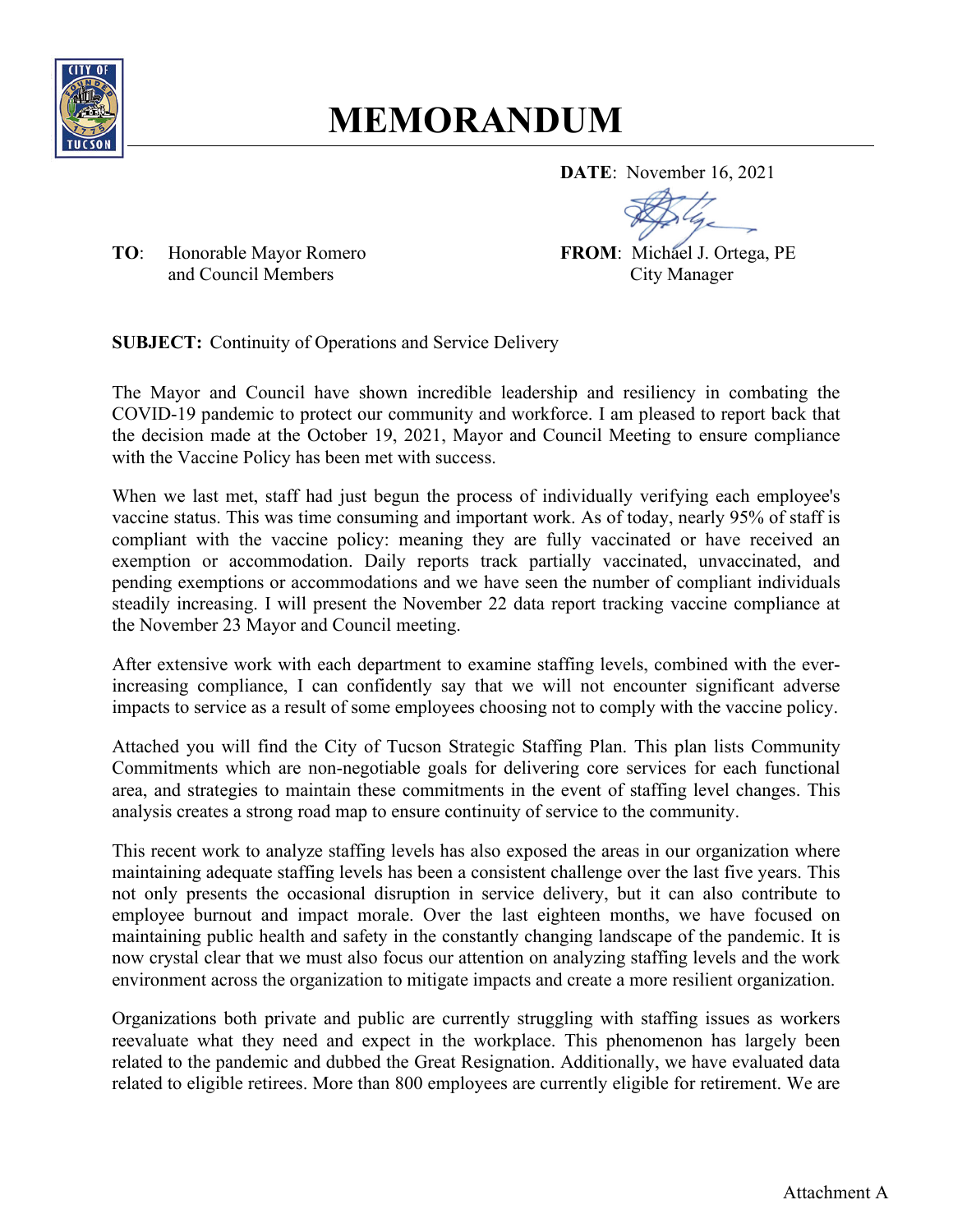

# **MEMORANDUM**

**DATE**: November 16, 2021

**TO:** Honorable Mayor Romero **FROM:** Michael J. Ortega, PE and Council Members City Manager and Council Members

**SUBJECT:** Continuity of Operations and Service Delivery

The Mayor and Council have shown incredible leadership and resiliency in combating the COVID-19 pandemic to protect our community and workforce. I am pleased to report back that the decision made at the October 19, 2021, Mayor and Council Meeting to ensure compliance with the Vaccine Policy has been met with success.

When we last met, staff had just begun the process of individually verifying each employee's vaccine status. This was time consuming and important work. As of today, nearly 95% of staff is compliant with the vaccine policy: meaning they are fully vaccinated or have received an exemption or accommodation. Daily reports track partially vaccinated, unvaccinated, and pending exemptions or accommodations and we have seen the number of compliant individuals steadily increasing. I will present the November 22 data report tracking vaccine compliance at the November 23 Mayor and Council meeting.

After extensive work with each department to examine staffing levels, combined with the everincreasing compliance, I can confidently say that we will not encounter significant adverse impacts to service as a result of some employees choosing not to comply with the vaccine policy.

Attached you will find the City of Tucson Strategic Staffing Plan. This plan lists Community Commitments which are non-negotiable goals for delivering core services for each functional area, and strategies to maintain these commitments in the event of staffing level changes. This analysis creates a strong road map to ensure continuity of service to the community.

This recent work to analyze staffing levels has also exposed the areas in our organization where maintaining adequate staffing levels has been a consistent challenge over the last five years. This not only presents the occasional disruption in service delivery, but it can also contribute to employee burnout and impact morale. Over the last eighteen months, we have focused on maintaining public health and safety in the constantly changing landscape of the pandemic. It is now crystal clear that we must also focus our attention on analyzing staffing levels and the work environment across the organization to mitigate impacts and create a more resilient organization.

Organizations both private and public are currently struggling with staffing issues as workers reevaluate what they need and expect in the workplace. This phenomenon has largely been related to the pandemic and dubbed the Great Resignation. Additionally, we have evaluated data related to eligible retirees. More than 800 employees are currently eligible for retirement. We are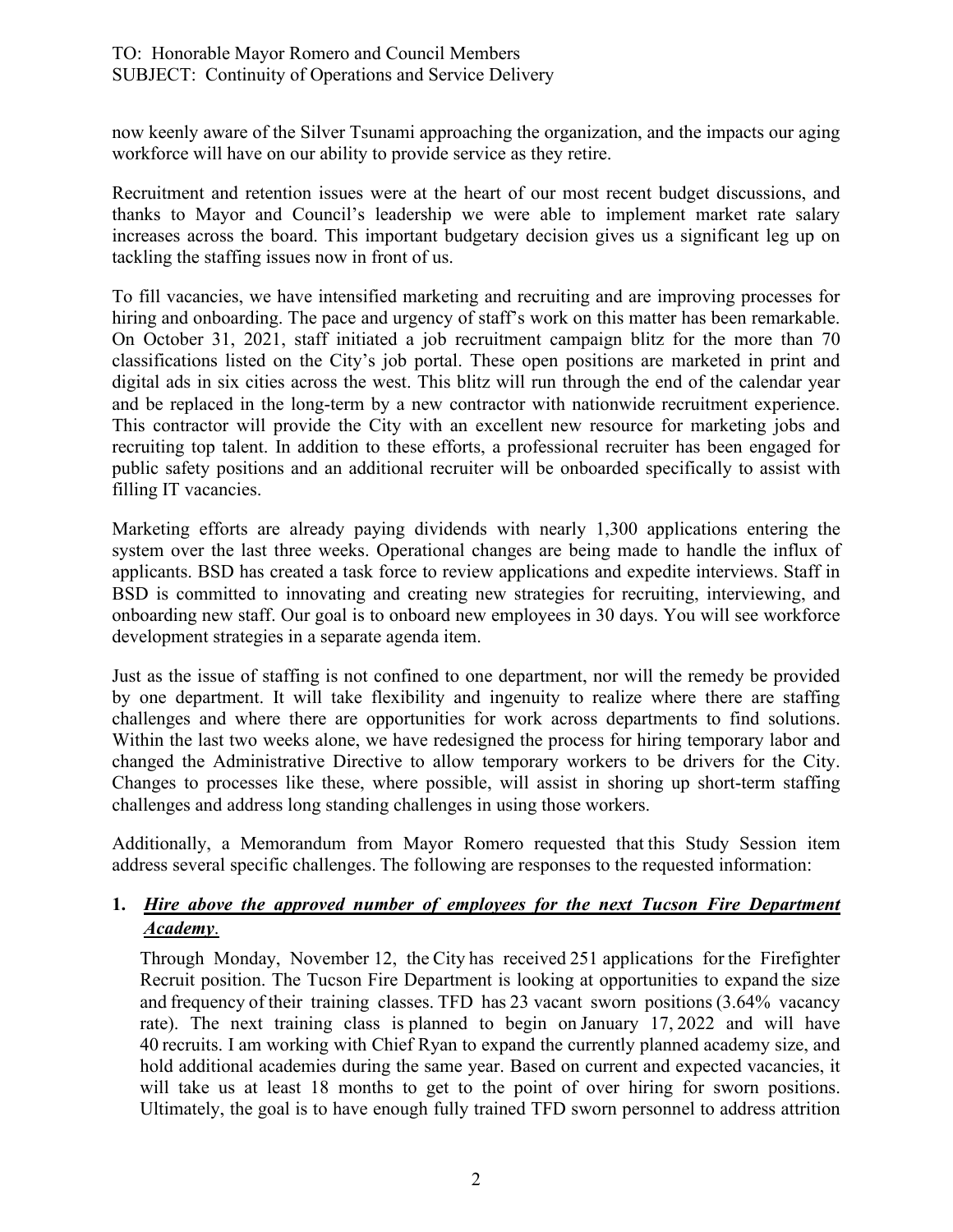now keenly aware of the Silver Tsunami approaching the organization, and the impacts our aging workforce will have on our ability to provide service as they retire.

Recruitment and retention issues were at the heart of our most recent budget discussions, and thanks to Mayor and Council's leadership we were able to implement market rate salary increases across the board. This important budgetary decision gives us a significant leg up on tackling the staffing issues now in front of us.

To fill vacancies, we have intensified marketing and recruiting and are improving processes for hiring and onboarding. The pace and urgency of staff's work on this matter has been remarkable. On October 31, 2021, staff initiated a job recruitment campaign blitz for the more than 70 classifications listed on the City's job portal. These open positions are marketed in print and digital ads in six cities across the west. This blitz will run through the end of the calendar year and be replaced in the long-term by a new contractor with nationwide recruitment experience. This contractor will provide the City with an excellent new resource for marketing jobs and recruiting top talent. In addition to these efforts, a professional recruiter has been engaged for public safety positions and an additional recruiter will be onboarded specifically to assist with filling IT vacancies.

Marketing efforts are already paying dividends with nearly 1,300 applications entering the system over the last three weeks. Operational changes are being made to handle the influx of applicants. BSD has created a task force to review applications and expedite interviews. Staff in BSD is committed to innovating and creating new strategies for recruiting, interviewing, and onboarding new staff. Our goal is to onboard new employees in 30 days. You will see workforce development strategies in a separate agenda item.

Just as the issue of staffing is not confined to one department, nor will the remedy be provided by one department. It will take flexibility and ingenuity to realize where there are staffing challenges and where there are opportunities for work across departments to find solutions. Within the last two weeks alone, we have redesigned the process for hiring temporary labor and changed the Administrative Directive to allow temporary workers to be drivers for the City. Changes to processes like these, where possible, will assist in shoring up short-term staffing challenges and address long standing challenges in using those workers.

Additionally, a Memorandum from Mayor Romero requested that this Study Session item address several specific challenges. The following are responses to the requested information: 

## **1.** *Hire above the approved number of employees for the next Tucson Fire Department Academy*.

Through Monday, November 12, the City has received 251 applications for the Firefighter Recruit position. The Tucson Fire Department is looking at opportunities to expand the size and frequency of their training classes. TFD has 23 vacant sworn positions (3.64% vacancy rate). The next training class is planned to begin on January 17, 2022 and will have 40 recruits. I am working with Chief Ryan to expand the currently planned academy size, and hold additional academies during the same year. Based on current and expected vacancies, it will take us at least 18 months to get to the point of over hiring for sworn positions. Ultimately, the goal is to have enough fully trained TFD sworn personnel to address attrition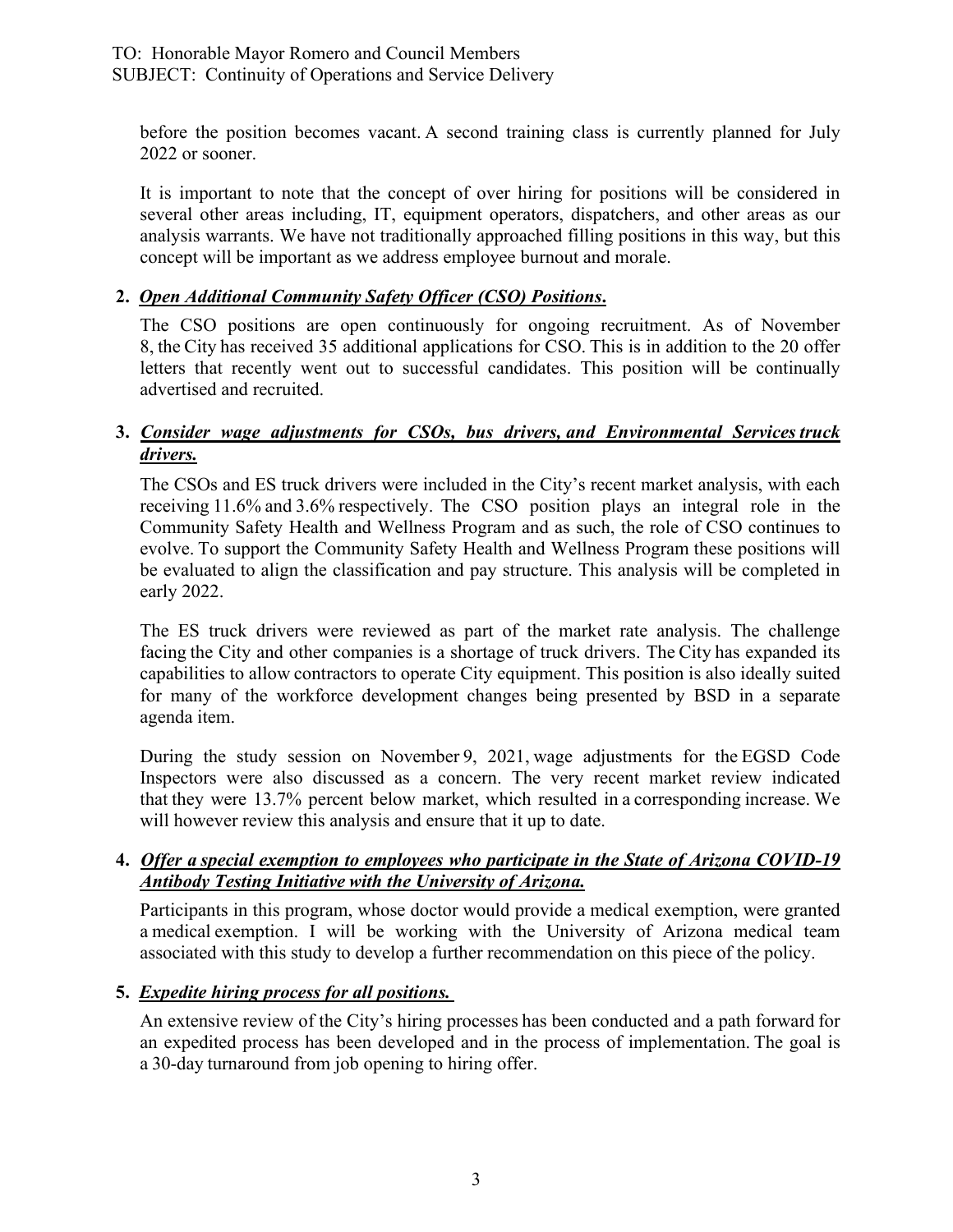before the position becomes vacant. A second training class is currently planned for July 2022 or sooner. 

It is important to note that the concept of over hiring for positions will be considered in several other areas including, IT, equipment operators, dispatchers, and other areas as our analysis warrants. We have not traditionally approached filling positions in this way, but this concept will be important as we address employee burnout and morale.

## **2.** *Open Additional Community Safety Officer (CSO) Positions***.**

The CSO positions are open continuously for ongoing recruitment. As of November 8, the City has received 35 additional applications for CSO. This is in addition to the 20 offer letters that recently went out to successful candidates. This position will be continually advertised and recruited. 

## **3.** *Consider wage adjustments for CSOs, bus drivers, and Environmental Services truck drivers.*

The CSOs and ES truck drivers were included in the City's recent market analysis, with each receiving 11.6% and 3.6% respectively.  The CSO position plays an integral role in the Community Safety Health and Wellness Program and as such, the role of CSO continues to evolve. To support the Community Safety Health and Wellness Program these positions will be evaluated to align the classification and pay structure. This analysis will be completed in early 2022.

The ES truck drivers were reviewed as part of the market rate analysis. The challenge facing the City and other companies is a shortage of truck drivers. The City has expanded its capabilities to allow contractors to operate City equipment. This position is also ideally suited for many of the workforce development changes being presented by BSD in a separate agenda item.

During the study session on November 9, 2021, wage adjustments for the EGSD Code Inspectors were also discussed as a concern. The very recent market review indicated that they were 13.7% percent below market, which resulted in a corresponding increase. We will however review this analysis and ensure that it up to date.

## **4.** *Offer a special exemption to employees who participate in the State of Arizona COVID-19 Antibody Testing Initiative with the University of Arizona.*

Participants in this program, whose doctor would provide a medical exemption, were granted a medical exemption. I will be working with the University of Arizona medical team associated with this study to develop a further recommendation on this piece of the policy.

## **5.** *Expedite hiring process for all positions.*

An extensive review of the City's hiring processes has been conducted and a path forward for an expedited process has been developed and in the process of implementation. The goal is a 30-day turnaround from job opening to hiring offer.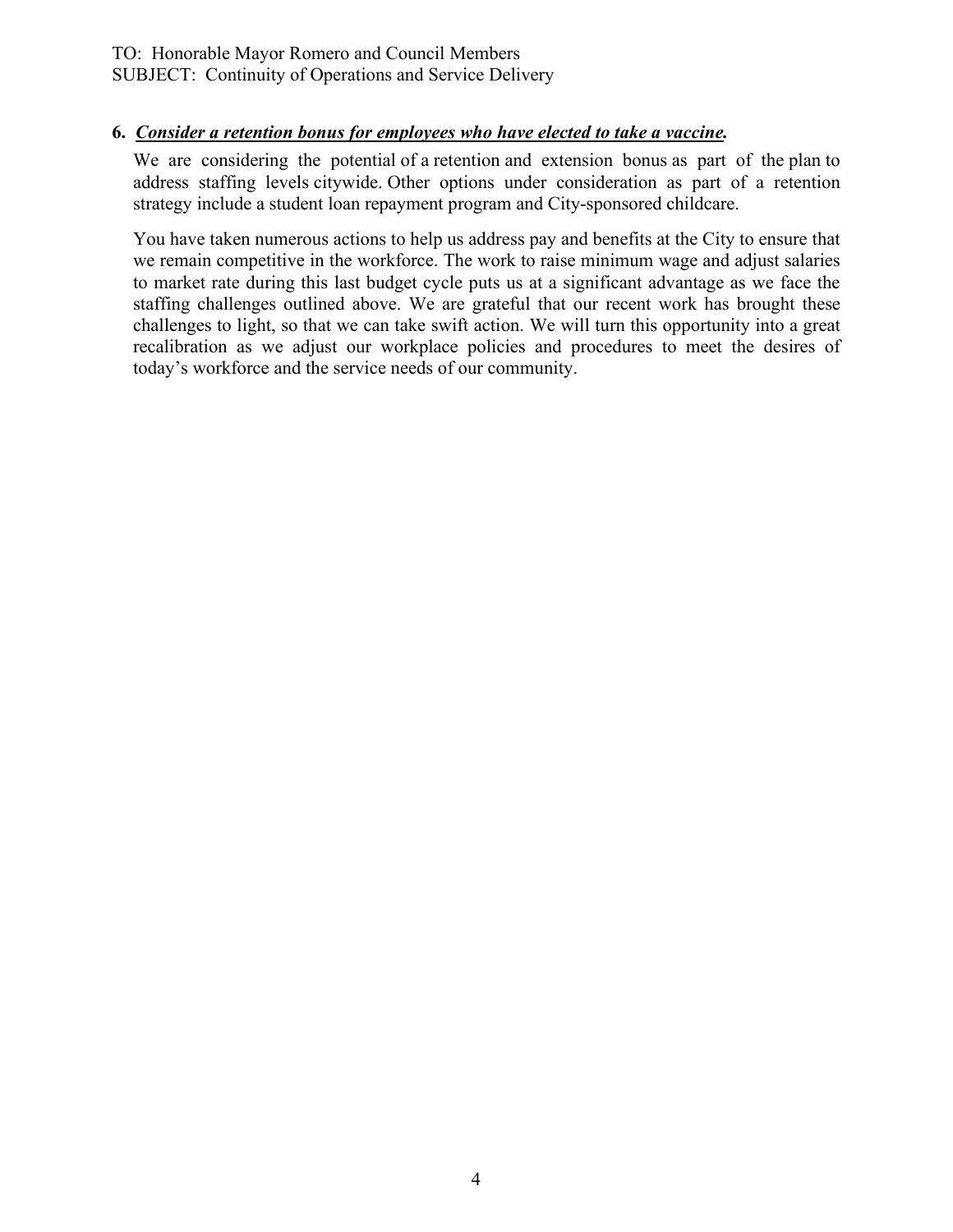## **6.** *Consider a retention bonus for employees who have elected to take a vaccine.*

We are considering the potential of a retention and extension bonus as part of the plan to address staffing levels citywide. Other options under consideration as part of a retention strategy include a student loan repayment program and City-sponsored childcare.

You have taken numerous actions to help us address pay and benefits at the City to ensure that we remain competitive in the workforce. The work to raise minimum wage and adjust salaries to market rate during this last budget cycle puts us at a significant advantage as we face the staffing challenges outlined above. We are grateful that our recent work has brought these challenges to light, so that we can take swift action. We will turn this opportunity into a great recalibration as we adjust our workplace policies and procedures to meet the desires of today's workforce and the service needs of our community.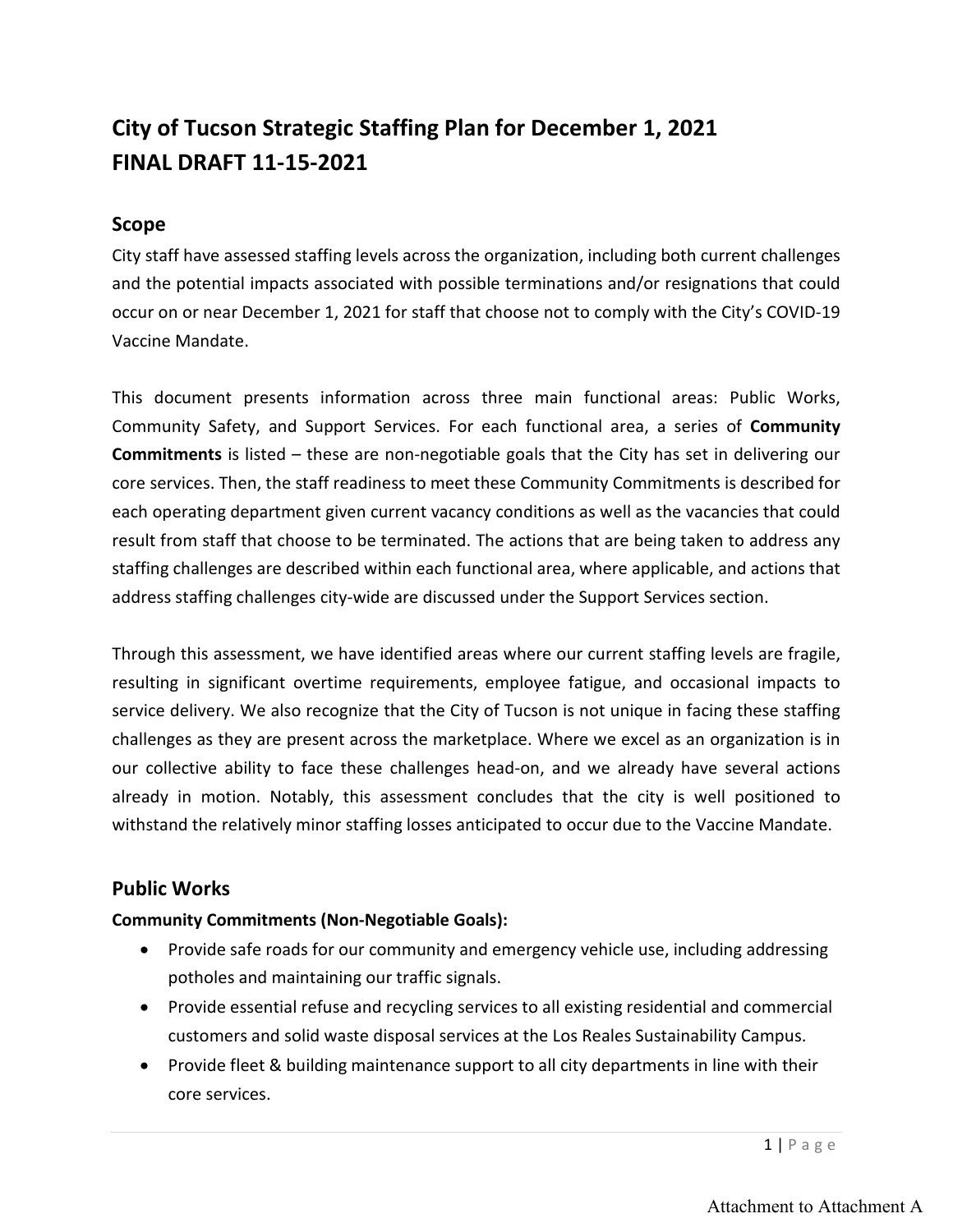## **City of Tucson Strategic Staffing Plan for December 1, 2021 FINAL DRAFT 11-15-2021**

## **Scope**

City staff have assessed staffing levels across the organization, including both current challenges and the potential impacts associated with possible terminations and/or resignations that could occur on or near December 1, 2021 for staff that choose not to comply with the City's COVID-19 Vaccine Mandate.

This document presents information across three main functional areas: Public Works, Community Safety, and Support Services. For each functional area, a series of **Community Commitments** is listed – these are non-negotiable goals that the City has set in delivering our core services. Then, the staff readiness to meet these Community Commitments is described for each operating department given current vacancy conditions as well as the vacancies that could result from staff that choose to be terminated. The actions that are being taken to address any staffing challenges are described within each functional area, where applicable, and actions that address staffing challenges city-wide are discussed under the Support Services section.

Through this assessment, we have identified areas where our current staffing levels are fragile, resulting in significant overtime requirements, employee fatigue, and occasional impacts to service delivery. We also recognize that the City of Tucson is not unique in facing these staffing challenges as they are present across the marketplace. Where we excel as an organization is in our collective ability to face these challenges head-on, and we already have several actions already in motion. Notably, this assessment concludes that the city is well positioned to withstand the relatively minor staffing losses anticipated to occur due to the Vaccine Mandate.

## **Public Works**

## **Community Commitments (Non-Negotiable Goals):**

- Provide safe roads for our community and emergency vehicle use, including addressing potholes and maintaining our traffic signals.
- Provide essential refuse and recycling services to all existing residential and commercial customers and solid waste disposal services at the Los Reales Sustainability Campus.
- Provide fleet & building maintenance support to all city departments in line with their core services.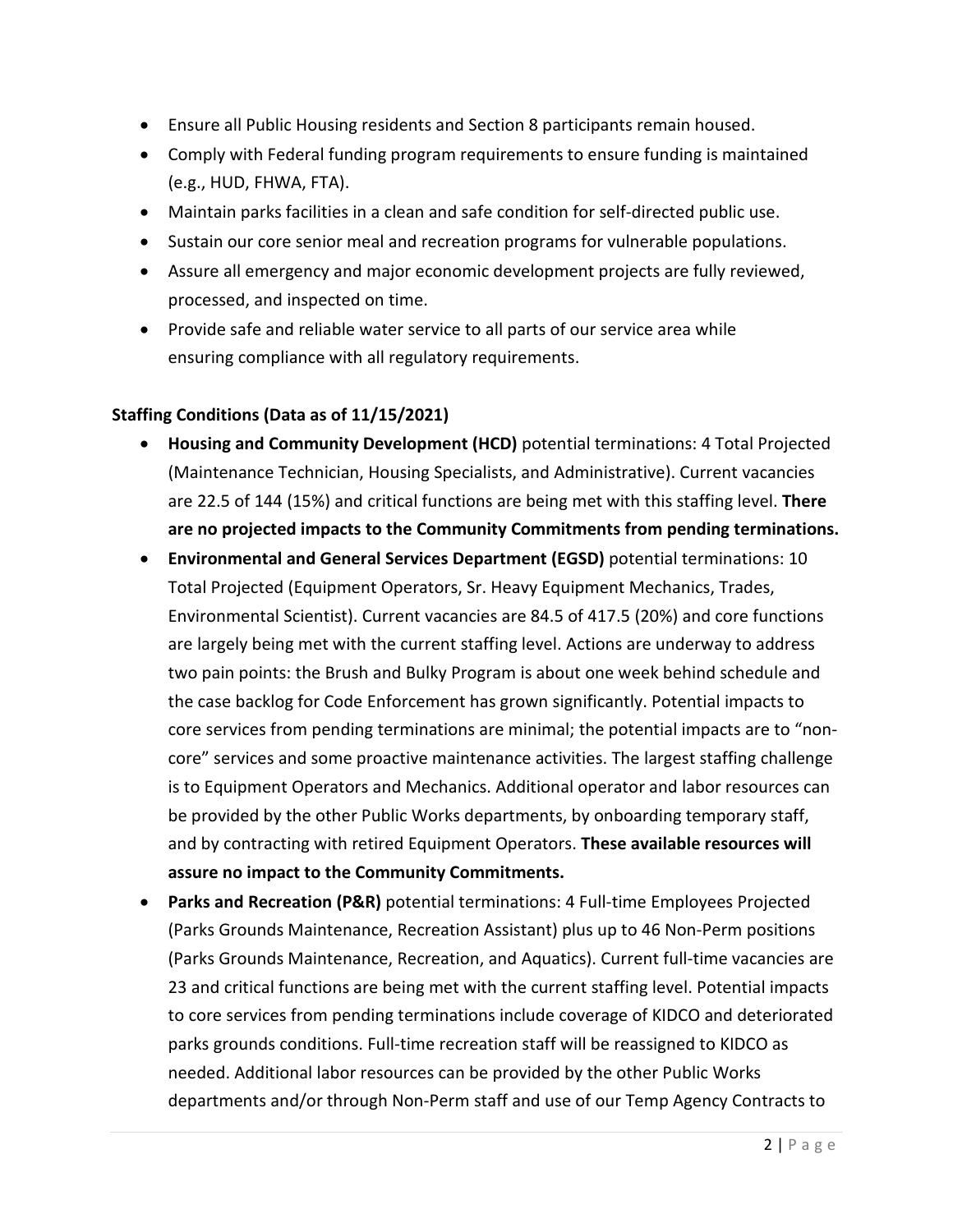- Ensure all Public Housing residents and Section 8 participants remain housed.
- Comply with Federal funding program requirements to ensure funding is maintained (e.g., HUD, FHWA, FTA).
- Maintain parks facilities in a clean and safe condition for self-directed public use.
- Sustain our core senior meal and recreation programs for vulnerable populations.
- Assure all emergency and major economic development projects are fully reviewed, processed, and inspected on time.
- Provide safe and reliable water service to all parts of our service area while ensuring compliance with all regulatory requirements.

## **Staffing Conditions (Data as of 11/15/2021)**

- **Housing and Community Development (HCD)** potential terminations: 4 Total Projected (Maintenance Technician, Housing Specialists, and Administrative). Current vacancies are 22.5 of 144 (15%) and critical functions are being met with this staffing level. **There are no projected impacts to the Community Commitments from pending terminations.**
- **Environmental and General Services Department (EGSD)** potential terminations: 10 Total Projected (Equipment Operators, Sr. Heavy Equipment Mechanics, Trades, Environmental Scientist). Current vacancies are 84.5 of 417.5 (20%) and core functions are largely being met with the current staffing level. Actions are underway to address two pain points: the Brush and Bulky Program is about one week behind schedule and the case backlog for Code Enforcement has grown significantly. Potential impacts to core services from pending terminations are minimal; the potential impacts are to "noncore" services and some proactive maintenance activities. The largest staffing challenge is to Equipment Operators and Mechanics. Additional operator and labor resources can be provided by the other Public Works departments, by onboarding temporary staff, and by contracting with retired Equipment Operators. **These available resources will assure no impact to the Community Commitments.**
- **Parks and Recreation (P&R)** potential terminations: 4 Full-time Employees Projected (Parks Grounds Maintenance, Recreation Assistant) plus up to 46 Non-Perm positions (Parks Grounds Maintenance, Recreation, and Aquatics). Current full-time vacancies are 23 and critical functions are being met with the current staffing level. Potential impacts to core services from pending terminations include coverage of KIDCO and deteriorated parks grounds conditions. Full-time recreation staff will be reassigned to KIDCO as needed. Additional labor resources can be provided by the other Public Works departments and/or through Non-Perm staff and use of our Temp Agency Contracts to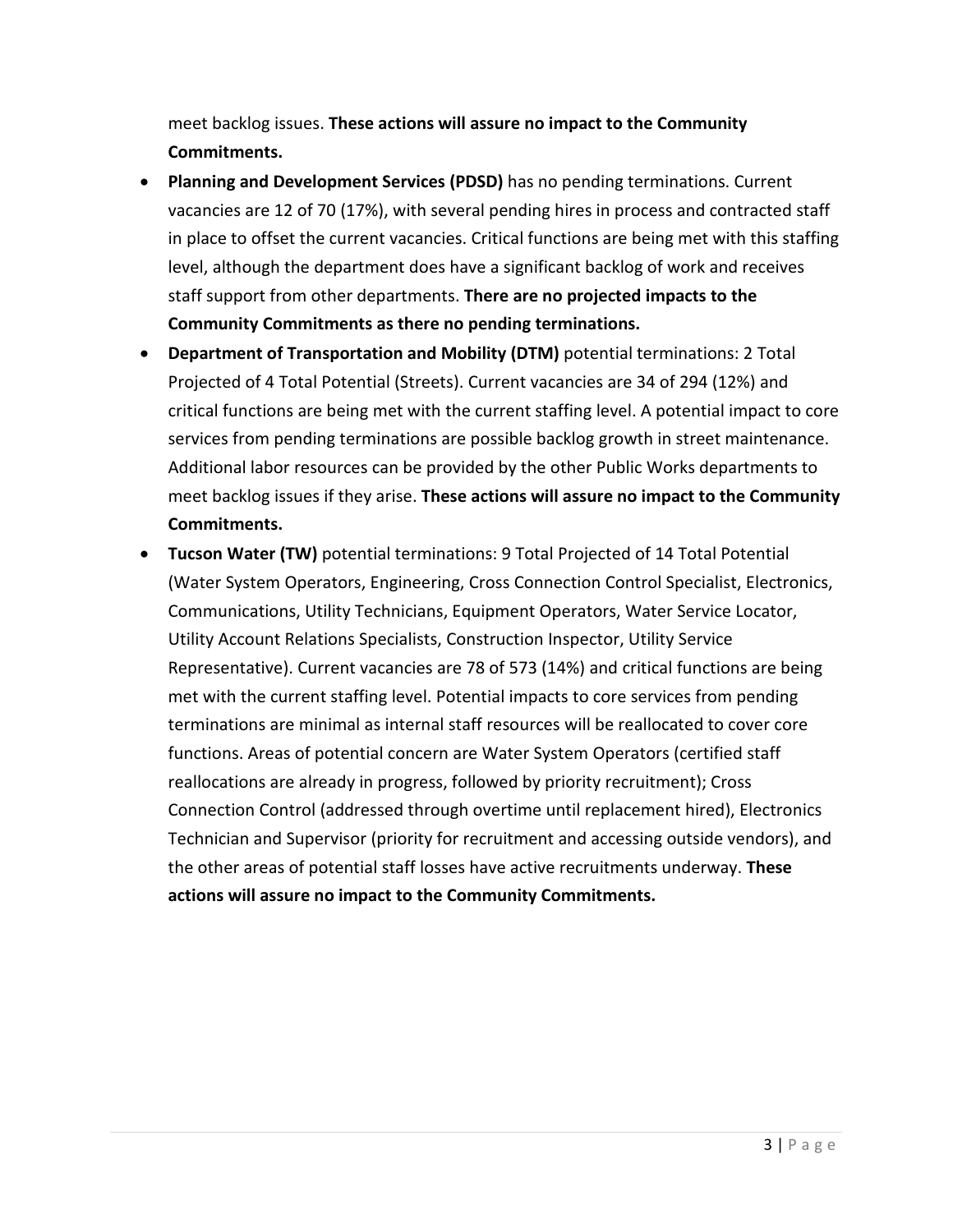meet backlog issues. **These actions will assure no impact to the Community Commitments.**

- **Planning and Development Services (PDSD)** has no pending terminations. Current vacancies are 12 of 70 (17%), with several pending hires in process and contracted staff in place to offset the current vacancies. Critical functions are being met with this staffing level, although the department does have a significant backlog of work and receives staff support from other departments. **There are no projected impacts to the Community Commitments as there no pending terminations.**
- **Department of Transportation and Mobility (DTM)** potential terminations: 2 Total Projected of 4 Total Potential (Streets). Current vacancies are 34 of 294 (12%) and critical functions are being met with the current staffing level. A potential impact to core services from pending terminations are possible backlog growth in street maintenance. Additional labor resources can be provided by the other Public Works departments to meet backlog issues if they arise. **These actions will assure no impact to the Community Commitments.**
- **Tucson Water (TW)** potential terminations: 9 Total Projected of 14 Total Potential (Water System Operators, Engineering, Cross Connection Control Specialist, Electronics, Communications, Utility Technicians, Equipment Operators, Water Service Locator, Utility Account Relations Specialists, Construction Inspector, Utility Service Representative). Current vacancies are 78 of 573 (14%) and critical functions are being met with the current staffing level. Potential impacts to core services from pending terminations are minimal as internal staff resources will be reallocated to cover core functions. Areas of potential concern are Water System Operators (certified staff reallocations are already in progress, followed by priority recruitment); Cross Connection Control (addressed through overtime until replacement hired), Electronics Technician and Supervisor (priority for recruitment and accessing outside vendors), and the other areas of potential staff losses have active recruitments underway. **These actions will assure no impact to the Community Commitments.**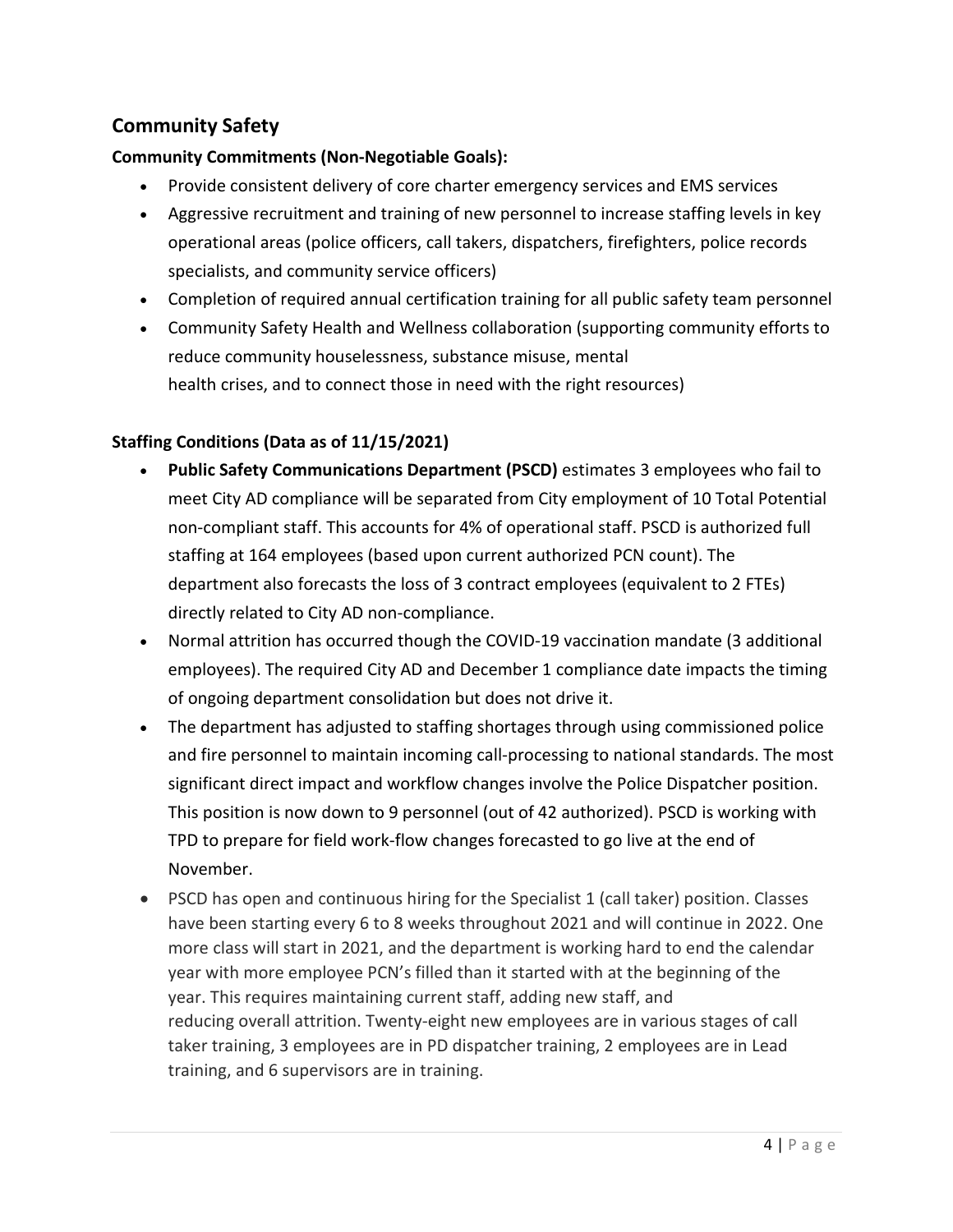## **Community Safety**

## **Community Commitments (Non-Negotiable Goals):**

- Provide consistent delivery of core charter emergency services and EMS services
- Aggressive recruitment and training of new personnel to increase staffing levels in key operational areas (police officers, call takers, dispatchers, firefighters, police records specialists, and community service officers)
- Completion of required annual certification training for all public safety team personnel
- Community Safety Health and Wellness collaboration (supporting community efforts to reduce community houselessness, substance misuse, mental health crises, and to connect those in need with the right resources)

## **Staffing Conditions (Data as of 11/15/2021)**

- **Public Safety Communications Department (PSCD)** estimates 3 employees who fail to meet City AD compliance will be separated from City employment of 10 Total Potential non-compliant staff. This accounts for 4% of operational staff. PSCD is authorized full staffing at 164 employees (based upon current authorized PCN count). The department also forecasts the loss of 3 contract employees (equivalent to 2 FTEs) directly related to City AD non-compliance.
- Normal attrition has occurred though the COVID-19 vaccination mandate (3 additional employees). The required City AD and December 1 compliance date impacts the timing of ongoing department consolidation but does not drive it.
- The department has adjusted to staffing shortages through using commissioned police and fire personnel to maintain incoming call-processing to national standards. The most significant direct impact and workflow changes involve the Police Dispatcher position. This position is now down to 9 personnel (out of 42 authorized). PSCD is working with TPD to prepare for field work-flow changes forecasted to go live at the end of November.
- PSCD has open and continuous hiring for the Specialist 1 (call taker) position. Classes have been starting every 6 to 8 weeks throughout 2021 and will continue in 2022. One more class will start in 2021, and the department is working hard to end the calendar year with more employee PCN's filled than it started with at the beginning of the year. This requires maintaining current staff, adding new staff, and reducing overall attrition. Twenty-eight new employees are in various stages of call taker training, 3 employees are in PD dispatcher training, 2 employees are in Lead training, and 6 supervisors are in training.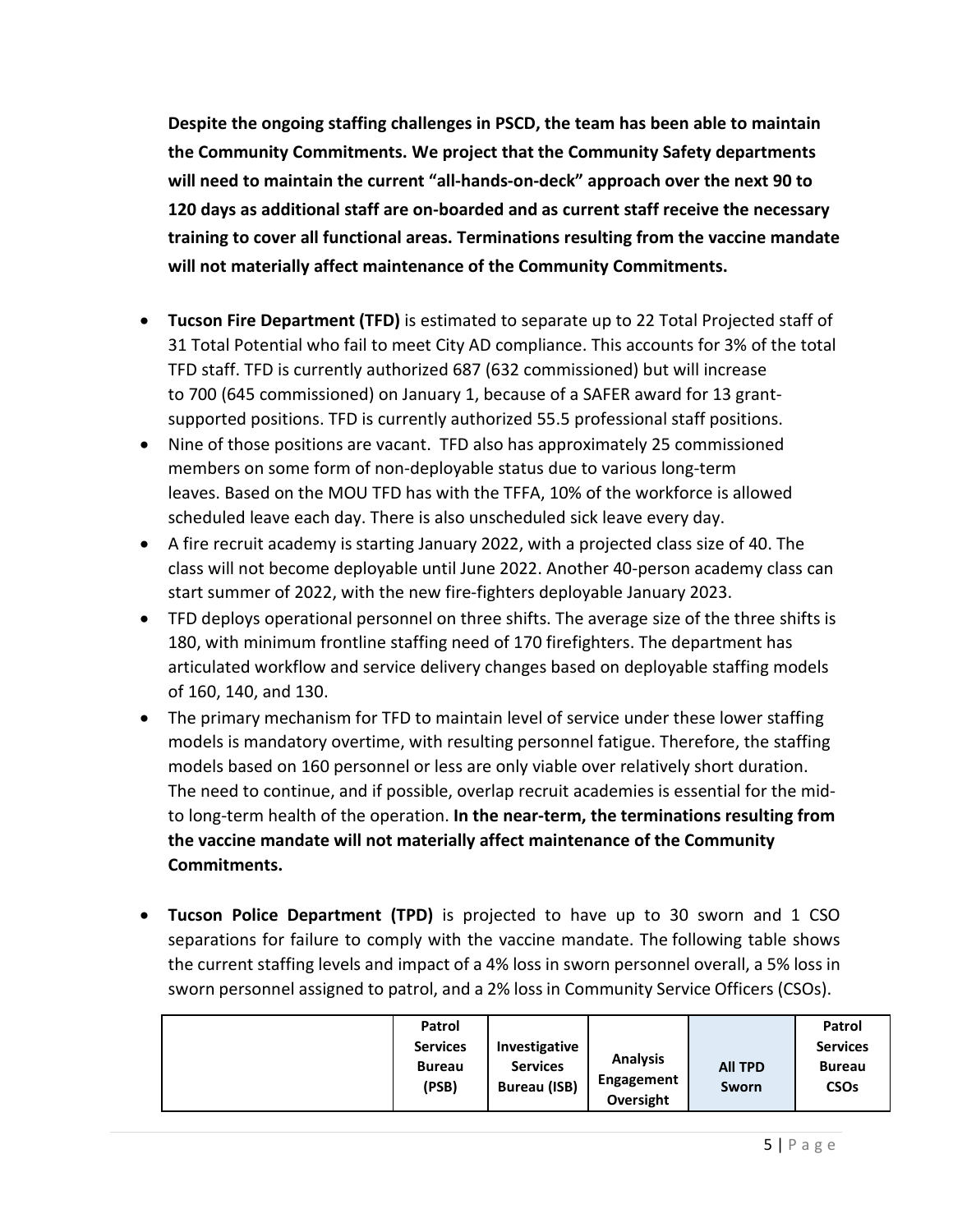**Despite the ongoing staffing challenges in PSCD, the team has been able to maintain the Community Commitments. We project that the Community Safety departments will need to maintain the current "all-hands-on-deck" approach over the next 90 to 120 days as additional staff are on-boarded and as current staff receive the necessary training to cover all functional areas. Terminations resulting from the vaccine mandate will not materially affect maintenance of the Community Commitments.**

- **Tucson Fire Department (TFD)** is estimated to separate up to 22 Total Projected staff of 31 Total Potential who fail to meet City AD compliance. This accounts for 3% of the total TFD staff. TFD is currently authorized 687 (632 commissioned) but will increase to 700 (645 commissioned) on January 1, because of a SAFER award for 13 grantsupported positions. TFD is currently authorized 55.5 professional staff positions.
- Nine of those positions are vacant. TFD also has approximately 25 commissioned members on some form of non-deployable status due to various long-term leaves. Based on the MOU TFD has with the TFFA, 10% of the workforce is allowed scheduled leave each day. There is also unscheduled sick leave every day.
- A fire recruit academy is starting January 2022, with a projected class size of 40. The class will not become deployable until June 2022. Another 40-person academy class can start summer of 2022, with the new fire-fighters deployable January 2023.
- TFD deploys operational personnel on three shifts. The average size of the three shifts is 180, with minimum frontline staffing need of 170 firefighters. The department has articulated workflow and service delivery changes based on deployable staffing models of 160, 140, and 130.
- The primary mechanism for TFD to maintain level of service under these lower staffing models is mandatory overtime, with resulting personnel fatigue. Therefore, the staffing models based on 160 personnel or less are only viable over relatively short duration. The need to continue, and if possible, overlap recruit academies is essential for the midto long-term health of the operation. **In the near-term, the terminations resulting from the vaccine mandate will not materially affect maintenance of the Community Commitments.**
- **Tucson Police Department (TPD)** is projected to have up to 30 sworn and 1 CSO separations for failure to comply with the vaccine mandate. The following table shows the current staffing levels and impact of a 4% loss in sworn personnel overall, a 5% loss in sworn personnel assigned to patrol, and a 2% loss in Community Service Officers (CSOs).

| Patrol<br><b>Services</b><br><b>Bureau</b><br>(PSB) | Investigative<br><b>Services</b><br><b>Bureau (ISB)</b> | <b>Analysis</b><br>Engagement | <b>All TPD</b><br>Sworn | Patrol<br><b>Services</b><br><b>Bureau</b><br><b>CSO<sub>s</sub></b> |
|-----------------------------------------------------|---------------------------------------------------------|-------------------------------|-------------------------|----------------------------------------------------------------------|
|                                                     |                                                         | Oversight                     |                         |                                                                      |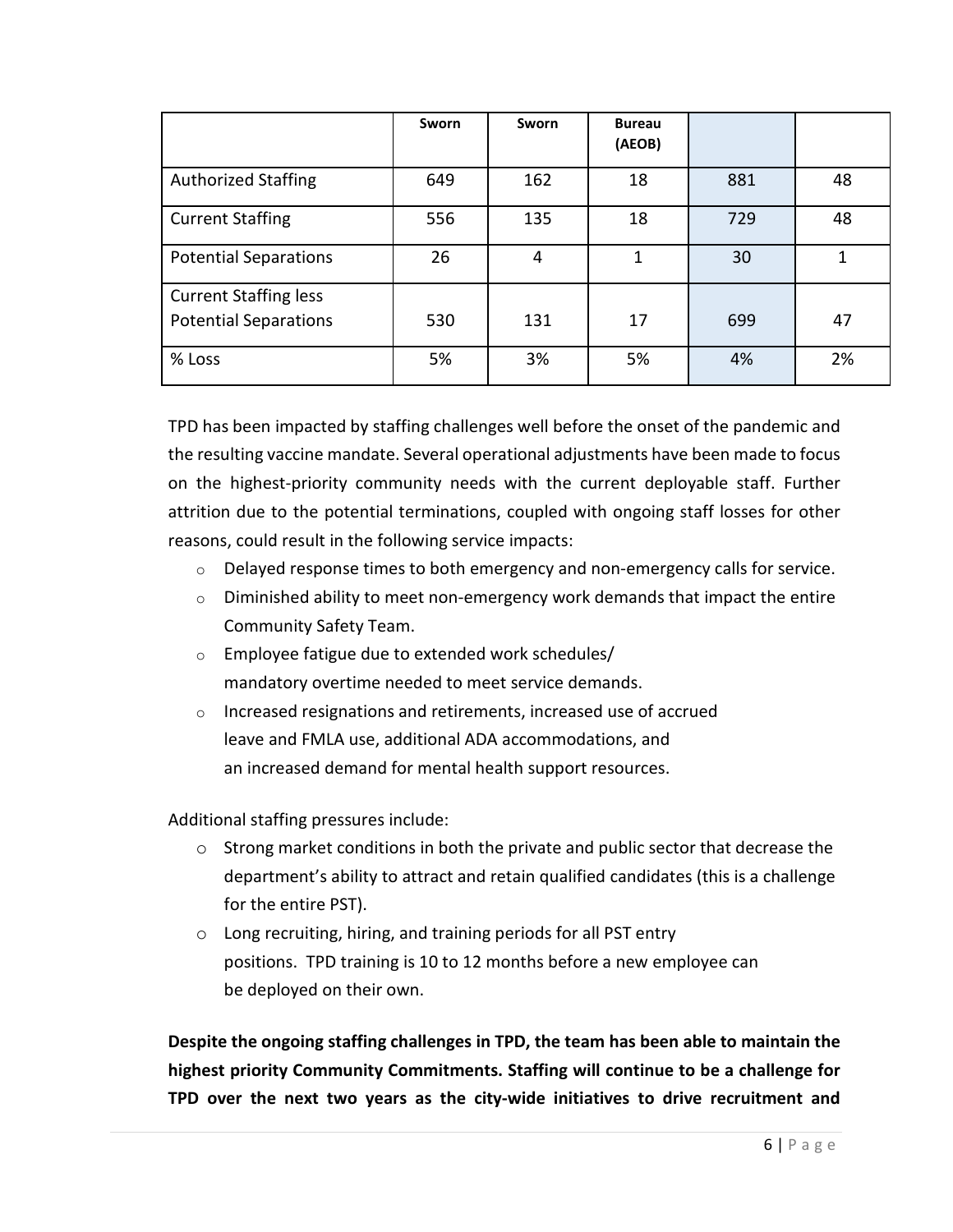|                              | Sworn | Sworn | <b>Bureau</b><br>(AEOB) |     |    |
|------------------------------|-------|-------|-------------------------|-----|----|
| <b>Authorized Staffing</b>   | 649   | 162   | 18                      | 881 | 48 |
| <b>Current Staffing</b>      | 556   | 135   | 18                      | 729 | 48 |
| <b>Potential Separations</b> | 26    | 4     | 1                       | 30  | 1  |
| <b>Current Staffing less</b> |       |       |                         |     |    |
| <b>Potential Separations</b> | 530   | 131   | 17                      | 699 | 47 |
| % Loss                       | 5%    | 3%    | 5%                      | 4%  | 2% |

TPD has been impacted by staffing challenges well before the onset of the pandemic and the resulting vaccine mandate. Several operational adjustments have been made to focus on the highest-priority community needs with the current deployable staff. Further attrition due to the potential terminations, coupled with ongoing staff losses for other reasons, could result in the following service impacts:

- $\circ$  Delayed response times to both emergency and non-emergency calls for service.
- $\circ$  Diminished ability to meet non-emergency work demands that impact the entire Community Safety Team.
- o Employee fatigue due to extended work schedules/ mandatory overtime needed to meet service demands.
- o Increased resignations and retirements, increased use of accrued leave and FMLA use, additional ADA accommodations, and an increased demand for mental health support resources.

Additional staffing pressures include:

- $\circ$  Strong market conditions in both the private and public sector that decrease the department's ability to attract and retain qualified candidates (this is a challenge for the entire PST).
- o Long recruiting, hiring, and training periods for all PST entry positions. TPD training is 10 to 12 months before a new employee can be deployed on their own.

**Despite the ongoing staffing challenges in TPD, the team has been able to maintain the highest priority Community Commitments. Staffing will continue to be a challenge for TPD over the next two years as the city-wide initiatives to drive recruitment and**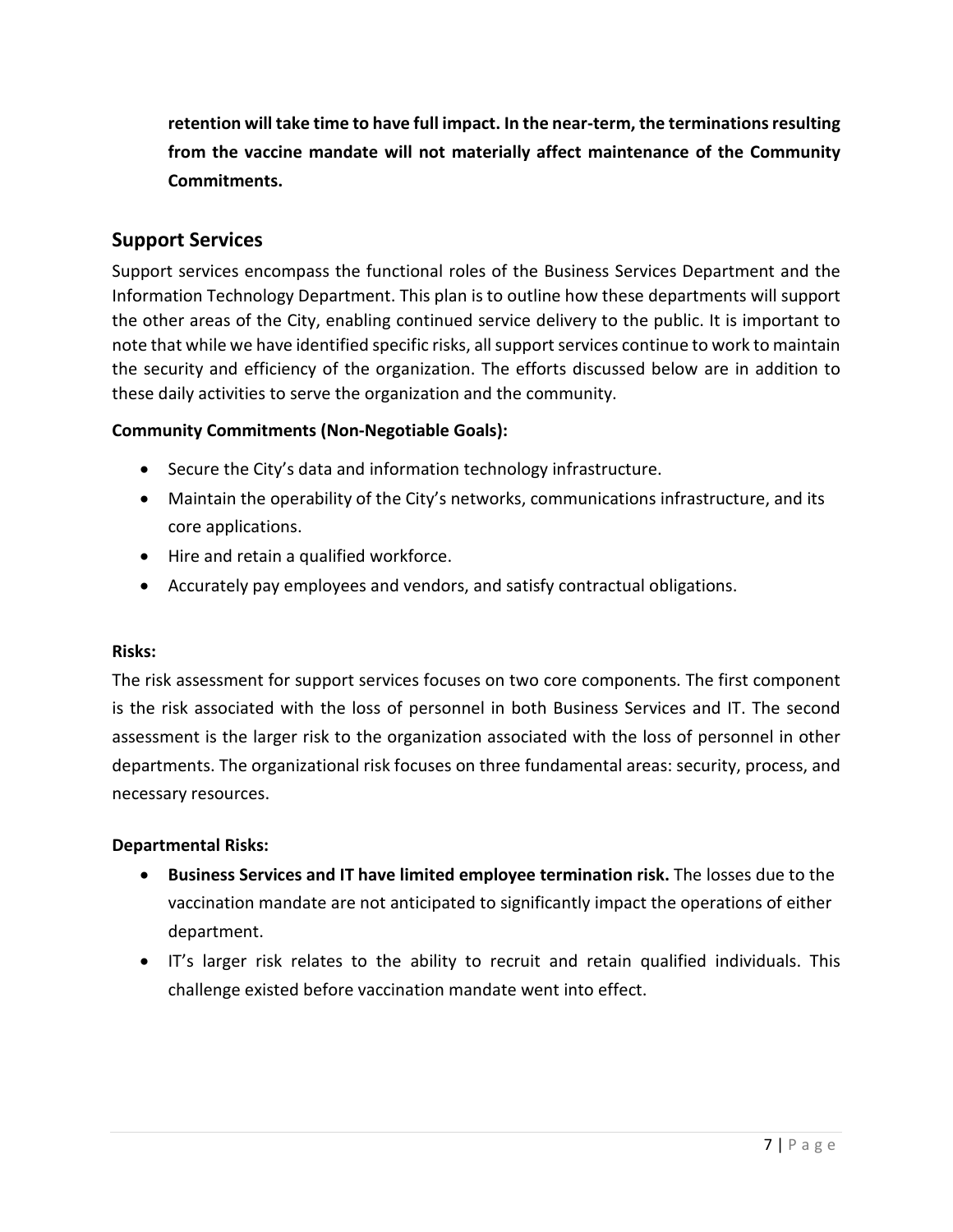**retention will take time to have full impact. In the near-term, the terminations resulting from the vaccine mandate will not materially affect maintenance of the Community Commitments.**

## **Support Services**

Support services encompass the functional roles of the Business Services Department and the Information Technology Department. This plan is to outline how these departments will support the other areas of the City, enabling continued service delivery to the public. It is important to note that while we have identified specific risks, all support services continue to work to maintain the security and efficiency of the organization. The efforts discussed below are in addition to these daily activities to serve the organization and the community.

## **Community Commitments (Non-Negotiable Goals):**

- Secure the City's data and information technology infrastructure.
- Maintain the operability of the City's networks, communications infrastructure, and its core applications.
- Hire and retain a qualified workforce.
- Accurately pay employees and vendors, and satisfy contractual obligations.

## **Risks:**

The risk assessment for support services focuses on two core components. The first component is the risk associated with the loss of personnel in both Business Services and IT. The second assessment is the larger risk to the organization associated with the loss of personnel in other departments. The organizational risk focuses on three fundamental areas: security, process, and necessary resources.

## **Departmental Risks:**

- **Business Services and IT have limited employee termination risk.** The losses due to the vaccination mandate are not anticipated to significantly impact the operations of either department.
- IT's larger risk relates to the ability to recruit and retain qualified individuals. This challenge existed before vaccination mandate went into effect.